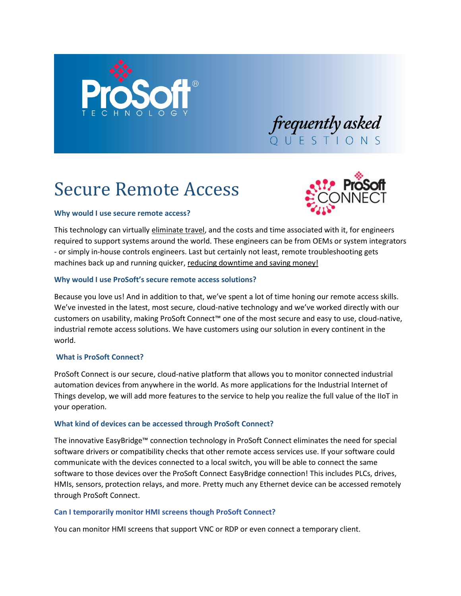

# Secure Remote Access



# **Why would I use secure remote access?**

This technology can virtually eliminate travel, and the costs and time associated with it, for engineers required to support systems around the world. These engineers can be from OEMs or system integrators - or simply in-house controls engineers. Last but certainly not least, remote troubleshooting gets machines back up and running quicker, reducing downtime and saving money!

# **Why would I use ProSoft's secure remote access solutions?**

Because you love us! And in addition to that, we've spent a lot of time honing our remote access skills. We've invested in the latest, most secure, cloud-native technology and we've worked directly with our customers on usability, making ProSoft Connect™ one of the most secure and easy to use, cloud-native, industrial remote access solutions. We have customers using our solution in every continent in the world.

## **What is ProSoft Connect?**

ProSoft Connect is our secure, cloud-native platform that allows you to monitor connected industrial automation devices from anywhere in the world. As more applications for the Industrial Internet of Things develop, we will add more features to the service to help you realize the full value of the IIoT in your operation.

## **What kind of devices can be accessed through ProSoft Connect?**

The innovative EasyBridge™ connection technology in ProSoft Connect eliminates the need for special software drivers or compatibility checks that other remote access services use. If your software could communicate with the devices connected to a local switch, you will be able to connect the same software to those devices over the ProSoft Connect EasyBridge connection! This includes PLCs, drives, HMIs, sensors, protection relays, and more. Pretty much any Ethernet device can be accessed remotely through ProSoft Connect.

## **Can I temporarily monitor HMI screens though ProSoft Connect?**

You can monitor HMI screens that support VNC or RDP or even connect a temporary client.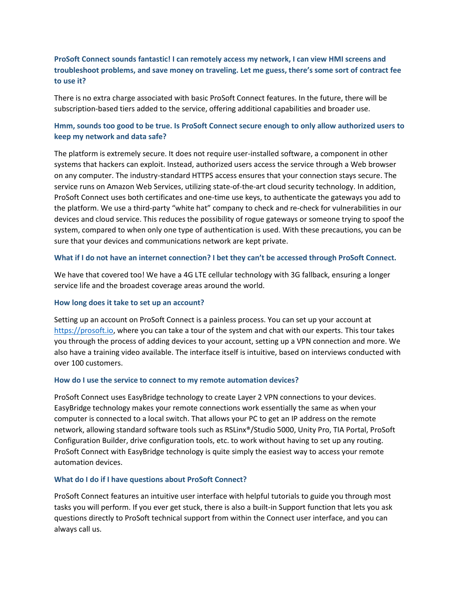# **ProSoft Connect sounds fantastic! I can remotely access my network, I can view HMI screens and troubleshoot problems, and save money on traveling. Let me guess, there's some sort of contract fee to use it?**

There is no extra charge associated with basic ProSoft Connect features. In the future, there will be subscription-based tiers added to the service, offering additional capabilities and broader use.

# **Hmm, sounds too good to be true. Is ProSoft Connect secure enough to only allow authorized users to keep my network and data safe?**

The platform is extremely secure. It does not require user-installed software, a component in other systems that hackers can exploit. Instead, authorized users access the service through a Web browser on any computer. The industry-standard HTTPS access ensures that your connection stays secure. The service runs on Amazon Web Services, utilizing state-of-the-art cloud security technology. In addition, ProSoft Connect uses both certificates and one-time use keys, to authenticate the gateways you add to the platform. We use a third-party "white hat" company to check and re-check for vulnerabilities in our devices and cloud service. This reduces the possibility of rogue gateways or someone trying to spoof the system, compared to when only one type of authentication is used. With these precautions, you can be sure that your devices and communications network are kept private.

### **What if I do not have an internet connection? I bet they can't be accessed through ProSoft Connect.**

We have that covered too! We have a 4G LTE cellular technology with 3G fallback, ensuring a longer service life and the broadest coverage areas around the world.

#### **How long does it take to set up an account?**

Setting up an account on ProSoft Connect is a painless process. You can set up your account at [https://prosoft.io,](https://prosoft.io/) where you can take a tour of the system and chat with our experts. This tour takes you through the process of adding devices to your account, setting up a VPN connection and more. We also have a training video available. The interface itself is intuitive, based on interviews conducted with over 100 customers.

#### **How do I use the service to connect to my remote automation devices?**

ProSoft Connect uses EasyBridge technology to create Layer 2 VPN connections to your devices. EasyBridge technology makes your remote connections work essentially the same as when your computer is connected to a local switch. That allows your PC to get an IP address on the remote network, allowing standard software tools such as RSLinx®/Studio 5000, Unity Pro, TIA Portal, ProSoft Configuration Builder, drive configuration tools, etc. to work without having to set up any routing. ProSoft Connect with EasyBridge technology is quite simply the easiest way to access your remote automation devices.

#### **What do I do if I have questions about ProSoft Connect?**

ProSoft Connect features an intuitive user interface with helpful tutorials to guide you through most tasks you will perform. If you ever get stuck, there is also a built-in Support function that lets you ask questions directly to ProSoft technical support from within the Connect user interface, and you can always call us.